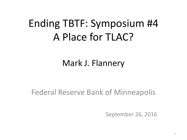## Ending TBTF: Symposium #4 A Place for TLAC?

#### Mark J. Flannery

#### Federal Reserve Bank of Minneapolis

September 26, 2016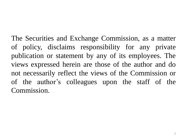The Securities and Exchange Commission, as a matter of policy, disclaims responsibility for any private publication or statement by any of its employees. The views expressed herein are those of the author and do not necessarily reflect the views of the Commission or of the author's colleagues upon the staff of the Commission.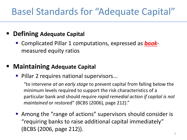#### Basel Standards for "Adequate Capital"

#### **Defining Adequate Capital**

 Complicated Pillar 1 computations, expressed as *book*measured equity ratios

#### **Maintaining Adequate Capital**

**Pillar 2 requires national supervisors...** 

"to intervene *at an early stage* to prevent capital from falling below the minimum levels required to support the risk characteristics of a particular bank and should require *rapid remedial action if capital is not maintained* or restored" (BCBS (2006), page 212)."

■ Among the "range of actions" supervisors should consider is "requiring banks to raise additional capital immediately" (BCBS (2006, page 212)).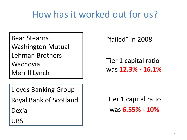### How has it worked out for us?

Bear Stearns Washington Mutual Lehman Brothers Wachovia Merrill Lynch

Lloyds Banking Group

Royal Bank of Scotland

Dexia

UBS

"failed" in 2008

Tier 1 capital ratio was **12.3% - 16.1%**

Tier 1 capital ratio was **6.55% - 10%**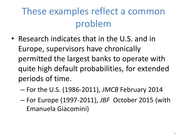## These examples reflect a common problem

- Research indicates that in the U.S. and in Europe, supervisors have chronically permitted the largest banks to operate with quite high default probabilities, for extended periods of time.
	- For the U.S. (1986-2011), *JMCB* February 2014
	- For Europe (1997-2011), *JBF* October 2015 (with Emanuela Giacomini)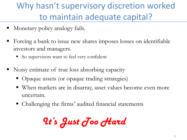Why hasn't supervisory discretion worked to maintain adequate capital?

- Monetary policy analogy fails.
- Forcing a bank to issue new shares imposes losses on identifiable investors and managers.
	- So supervisors want to feel very confident
- Noisy estimate of true loss absorbing capacity
	- Opaque assets (or opaque trading strategies)
	- When markets are in disarray, asset values become even more uncertain.
	- Challenging the firms' audited financial statements

*It's Just Too Hard*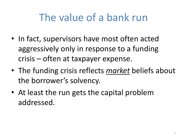### The value of a bank run

- In fact, supervisors have most often acted aggressively only in response to a funding crisis – often at taxpayer expense.
- The funding crisis reflects *market* beliefs about the borrower's solvency.
- At least the run gets the capital problem addressed.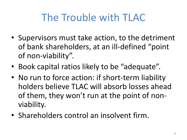## The Trouble with TLAC

- Supervisors must take action, to the detriment of bank shareholders, at an ill-defined "point of non-viability".
- Book capital ratios likely to be "adequate".
- No run to force action: if short-term liability holders believe TLAC will absorb losses ahead of them, they won't run at the point of nonviability.
- Shareholders control an insolvent firm.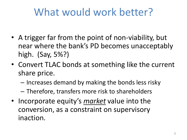## What would work better?

- A trigger far from the point of non-viability, but near where the bank's PD becomes unacceptably high. (Say, 5%?)
- Convert TLAC bonds at something like the current share price.
	- Increases demand by making the bonds less risky
	- Therefore, transfers more risk to shareholders
- Incorporate equity's *market* value into the conversion, as a constraint on supervisory inaction.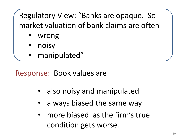Regulatory View: "Banks are opaque. So market valuation of bank claims are often

- wrong
- noisy
- manipulated"

Response: Book values are

- also noisy and manipulated
- always biased the same way
- more biased as the firm's true condition gets worse.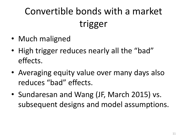# Convertible bonds with a market trigger

- Much maligned
- High trigger reduces nearly all the "bad" effects.
- Averaging equity value over many days also reduces "bad" effects.
- Sundaresan and Wang (JF, March 2015) vs. subsequent designs and model assumptions.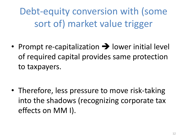Debt-equity conversion with (some sort of) market value trigger

• Prompt re-capitalization  $\rightarrow$  lower initial level of required capital provides same protection to taxpayers.

• Therefore, less pressure to move risk-taking into the shadows (recognizing corporate tax effects on MM I).